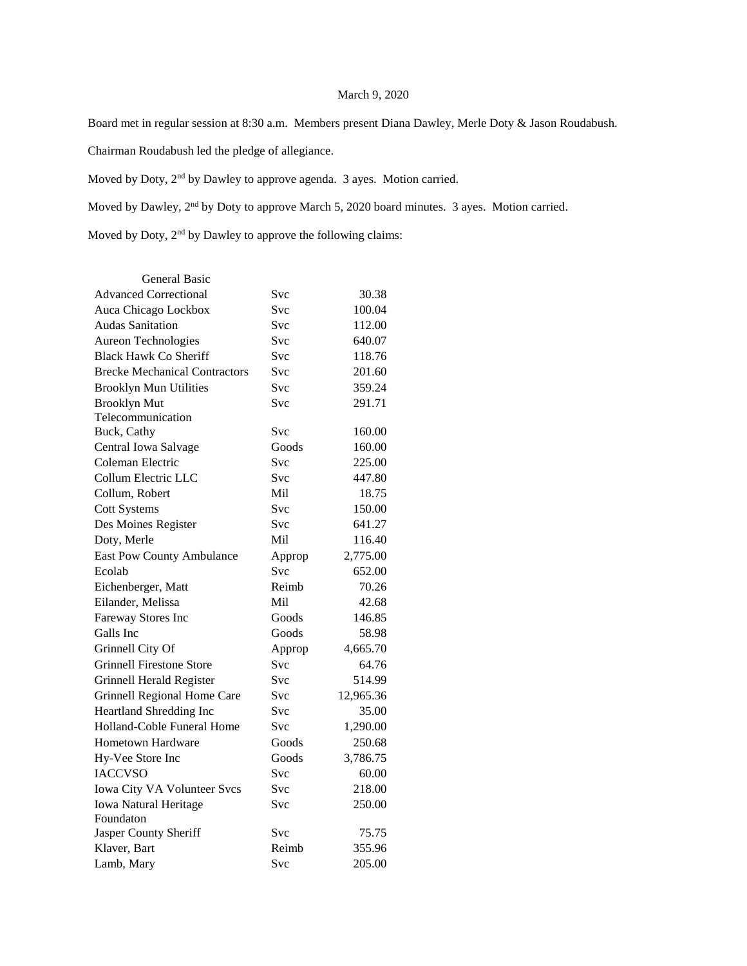### March 9, 2020

Board met in regular session at 8:30 a.m. Members present Diana Dawley, Merle Doty & Jason Roudabush.

Chairman Roudabush led the pledge of allegiance.

Moved by Doty, 2nd by Dawley to approve agenda. 3 ayes. Motion carried.

Moved by Dawley, 2nd by Doty to approve March 5, 2020 board minutes. 3 ayes. Motion carried.

Moved by Doty, 2nd by Dawley to approve the following claims:

| <b>General Basic</b>                 |            |           |
|--------------------------------------|------------|-----------|
| <b>Advanced Correctional</b>         | Svc        | 30.38     |
| Auca Chicago Lockbox                 | Svc        | 100.04    |
| <b>Audas Sanitation</b>              | Svc        | 112.00    |
| Aureon Technologies                  | Svc        | 640.07    |
| <b>Black Hawk Co Sheriff</b>         | Svc        | 118.76    |
| <b>Brecke Mechanical Contractors</b> | Svc        | 201.60    |
| <b>Brooklyn Mun Utilities</b>        | Svc        | 359.24    |
| <b>Brooklyn Mut</b>                  | <b>Svc</b> | 291.71    |
| Telecommunication                    |            |           |
| Buck, Cathy                          | Svc        | 160.00    |
| Central Iowa Salvage                 | Goods      | 160.00    |
| Coleman Electric                     | Svc        | 225.00    |
| Collum Electric LLC                  | Svc        | 447.80    |
| Collum, Robert                       | Mil.       | 18.75     |
| <b>Cott Systems</b>                  | <b>Svc</b> | 150.00    |
| Des Moines Register                  | Svc        | 641.27    |
| Doty, Merle                          | Mil        | 116.40    |
| <b>East Pow County Ambulance</b>     | Approp     | 2,775.00  |
| Ecolab                               | <b>Svc</b> | 652.00    |
| Eichenberger, Matt                   | Reimb      | 70.26     |
| Eilander, Melissa                    | Mil        | 42.68     |
| Fareway Stores Inc                   | Goods      | 146.85    |
| Galls Inc                            | Goods      | 58.98     |
| Grinnell City Of                     | Approp     | 4,665.70  |
| <b>Grinnell Firestone Store</b>      | <b>Svc</b> | 64.76     |
| Grinnell Herald Register             | <b>Svc</b> | 514.99    |
| Grinnell Regional Home Care          | Svc        | 12,965.36 |
| Heartland Shredding Inc              | Svc        | 35.00     |
| Holland-Coble Funeral Home           | Svc        | 1,290.00  |
| <b>Hometown Hardware</b>             | Goods      | 250.68    |
| Hy-Vee Store Inc                     | Goods      | 3,786.75  |
| <b>IACCVSO</b>                       | Svc        | 60.00     |
| Iowa City VA Volunteer Svcs          | <b>Svc</b> | 218.00    |
| <b>Iowa Natural Heritage</b>         | Svc        | 250.00    |
| Foundaton                            |            |           |
| Jasper County Sheriff                | Svc        | 75.75     |
| Klaver, Bart                         | Reimb      | 355.96    |
| Lamb, Mary                           | Svc        | 205.00    |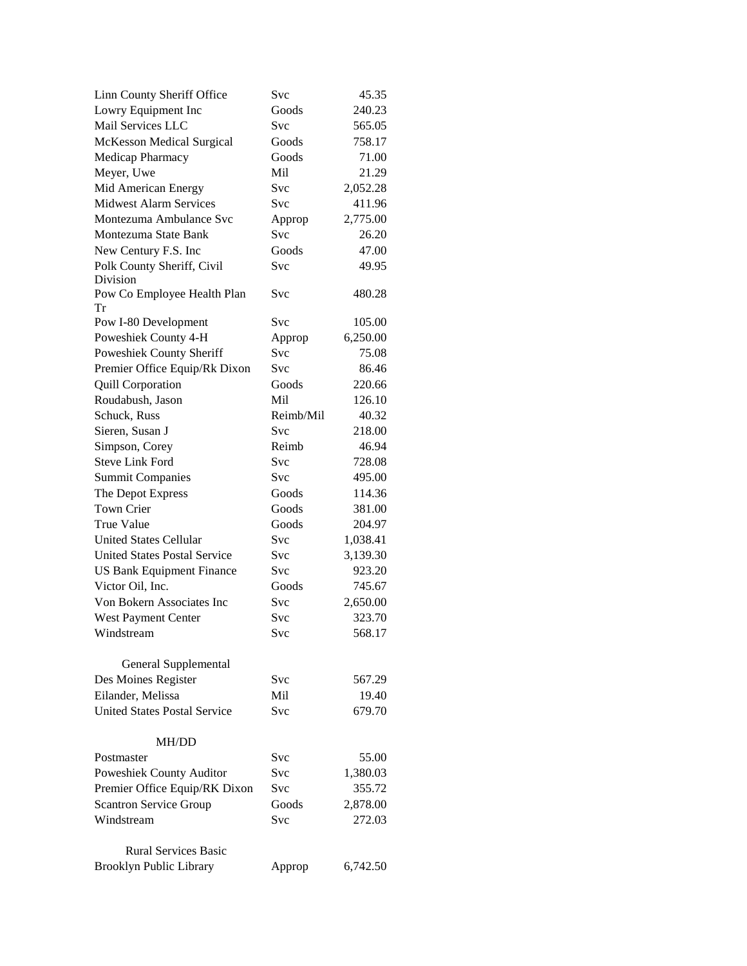| Linn County Sheriff Office          | Svc        | 45.35    |
|-------------------------------------|------------|----------|
| Lowry Equipment Inc                 | Goods      | 240.23   |
| Mail Services LLC                   | Svc        | 565.05   |
| <b>McKesson Medical Surgical</b>    | Goods      | 758.17   |
| Medicap Pharmacy                    | Goods      | 71.00    |
| Meyer, Uwe                          | Mil        | 21.29    |
| Mid American Energy                 | Svc        | 2,052.28 |
| <b>Midwest Alarm Services</b>       | Svc        | 411.96   |
| Montezuma Ambulance Svc             | Approp     | 2,775.00 |
| Montezuma State Bank                | Svc        | 26.20    |
| New Century F.S. Inc                | Goods      | 47.00    |
| Polk County Sheriff, Civil          | <b>Svc</b> | 49.95    |
| Division                            |            |          |
| Pow Co Employee Health Plan<br>Tr   | Svc        | 480.28   |
| Pow I-80 Development                | Svc        | 105.00   |
| Poweshiek County 4-H                | Approp     | 6,250.00 |
| Poweshiek County Sheriff            | Svc        | 75.08    |
| Premier Office Equip/Rk Dixon       | Svc        | 86.46    |
| <b>Quill Corporation</b>            | Goods      | 220.66   |
| Roudabush, Jason                    | Mil        | 126.10   |
| Schuck, Russ                        | Reimb/Mil  | 40.32    |
| Sieren, Susan J                     | Svc        | 218.00   |
| Simpson, Corey                      | Reimb      | 46.94    |
| <b>Steve Link Ford</b>              | Svc        | 728.08   |
| <b>Summit Companies</b>             | <b>Svc</b> | 495.00   |
| The Depot Express                   | Goods      | 114.36   |
| <b>Town Crier</b>                   | Goods      | 381.00   |
| <b>True Value</b>                   | Goods      | 204.97   |
| <b>United States Cellular</b>       | Svc        | 1,038.41 |
| <b>United States Postal Service</b> | Svc        | 3,139.30 |
| <b>US Bank Equipment Finance</b>    | Svc        | 923.20   |
| Victor Oil, Inc.                    | Goods      | 745.67   |
| Von Bokern Associates Inc           | Svc        | 2,650.00 |
| West Payment Center                 | Svc        | 323.70   |
| Windstream                          | Svc        | 568.17   |
| General Supplemental                |            |          |
| Des Moines Register                 | Svc        | 567.29   |
| Eilander, Melissa                   | Mil.       | 19.40    |
| <b>United States Postal Service</b> | Svc        | 679.70   |
|                                     |            |          |
| MH/DD                               |            |          |
| Postmaster                          | Svc        | 55.00    |
| Poweshiek County Auditor            | Svc        | 1,380.03 |
| Premier Office Equip/RK Dixon       | Svc        | 355.72   |
| <b>Scantron Service Group</b>       | Goods      | 2,878.00 |
| Windstream                          | Svc        | 272.03   |
| <b>Rural Services Basic</b>         |            |          |
| <b>Brooklyn Public Library</b>      | Approp     | 6,742.50 |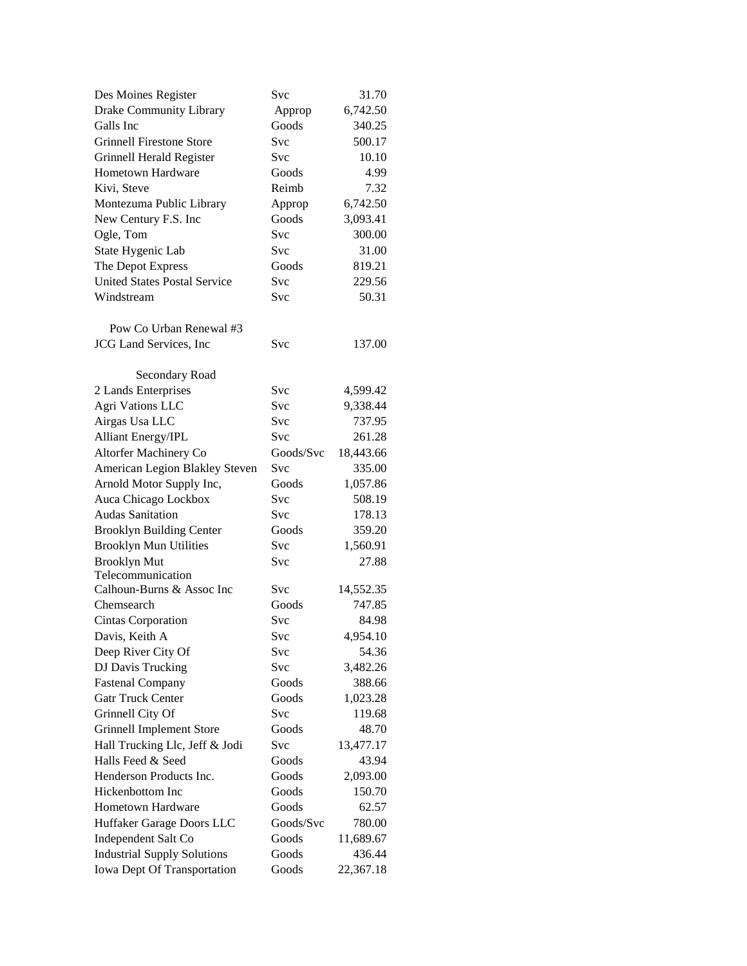| Des Moines Register                 | Svc        | 31.70     |
|-------------------------------------|------------|-----------|
| Drake Community Library             | Approp     | 6,742.50  |
| Galls Inc                           | Goods      | 340.25    |
| <b>Grinnell Firestone Store</b>     | Svc        | 500.17    |
| Grinnell Herald Register            | Svc        | 10.10     |
| Hometown Hardware                   | Goods      | 4.99      |
| Kivi, Steve                         | Reimb      | 7.32      |
| Montezuma Public Library            | Approp     | 6,742.50  |
| New Century F.S. Inc                | Goods      | 3,093.41  |
| Ogle, Tom                           | Svc        | 300.00    |
| State Hygenic Lab                   | Svc        | 31.00     |
| The Depot Express                   | Goods      | 819.21    |
| <b>United States Postal Service</b> | Svc        | 229.56    |
| Windstream                          | Svc        | 50.31     |
| Pow Co Urban Renewal #3             |            |           |
| <b>JCG</b> Land Services, Inc       | Svc        | 137.00    |
|                                     |            |           |
| Secondary Road                      |            |           |
| 2 Lands Enterprises                 | Svc        | 4,599.42  |
| <b>Agri Vations LLC</b>             | <b>Svc</b> | 9,338.44  |
| Airgas Usa LLC                      | <b>Svc</b> | 737.95    |
| Alliant Energy/IPL                  | Svc        | 261.28    |
| Altorfer Machinery Co               | Goods/Svc  | 18,443.66 |
| American Legion Blakley Steven      | Svc        | 335.00    |
| Arnold Motor Supply Inc,            | Goods      | 1,057.86  |
| Auca Chicago Lockbox                | Svc        | 508.19    |
| <b>Audas Sanitation</b>             | Svc        | 178.13    |
| <b>Brooklyn Building Center</b>     | Goods      | 359.20    |
| <b>Brooklyn Mun Utilities</b>       | Svc        | 1,560.91  |
| <b>Brooklyn Mut</b>                 | Svc        | 27.88     |
| Telecommunication                   |            |           |
| Calhoun-Burns & Assoc Inc           | <b>Svc</b> | 14,552.35 |
| Chemsearch                          | Goods      | 747.85    |
| Cintas Corporation                  | <b>Svc</b> | 84.98     |
| Davis, Keith A                      | Svc        | 4,954.10  |
| Deep River City Of                  | Svc        | 54.36     |
| DJ Davis Trucking                   | Svc        | 3,482.26  |
| <b>Fastenal Company</b>             | Goods      | 388.66    |
| <b>Gatr Truck Center</b>            | Goods      | 1,023.28  |
| Grinnell City Of                    | Svc        | 119.68    |
| <b>Grinnell Implement Store</b>     | Goods      | 48.70     |
| Hall Trucking Llc, Jeff & Jodi      | Svc        | 13,477.17 |
| Halls Feed & Seed                   | Goods      | 43.94     |
| Henderson Products Inc.             | Goods      | 2,093.00  |
| Hickenbottom Inc                    | Goods      | 150.70    |
| Hometown Hardware                   | Goods      | 62.57     |
| Huffaker Garage Doors LLC           | Goods/Svc  | 780.00    |
| Independent Salt Co                 | Goods      | 11,689.67 |
| <b>Industrial Supply Solutions</b>  | Goods      | 436.44    |
| Iowa Dept Of Transportation         | Goods      | 22,367.18 |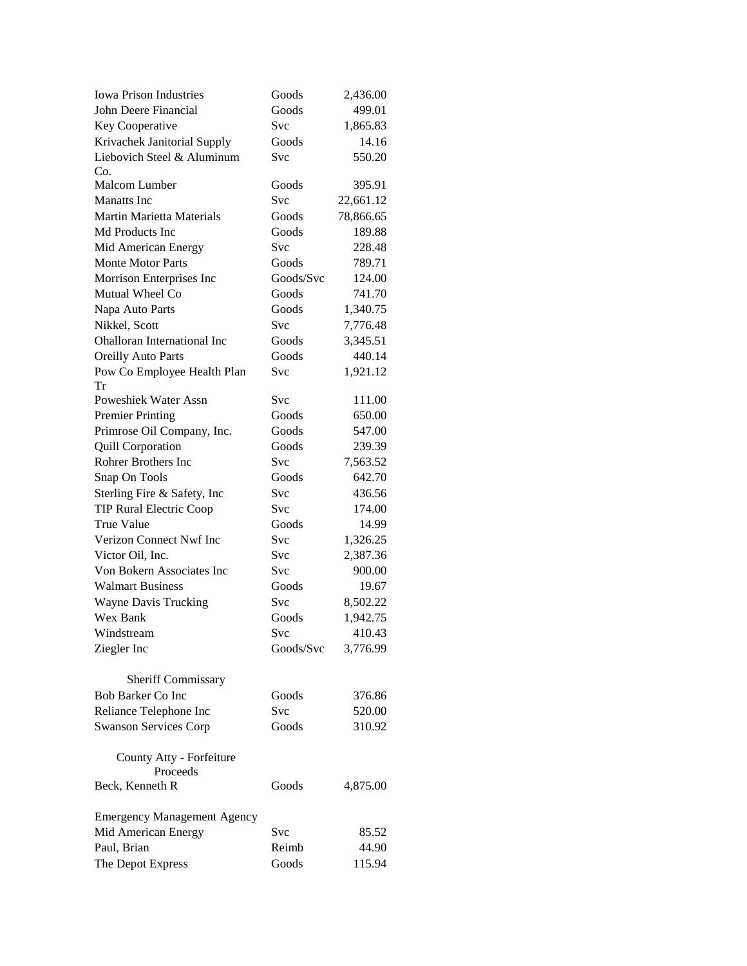| <b>Iowa Prison Industries</b>      | Goods      | 2,436.00  |
|------------------------------------|------------|-----------|
| John Deere Financial               | Goods      | 499.01    |
| Key Cooperative                    | Svc        | 1,865.83  |
| Krivachek Janitorial Supply        | Goods      | 14.16     |
| Liebovich Steel & Aluminum         | Svc        | 550.20    |
| Co.                                |            |           |
| Malcom Lumber                      | Goods      | 395.91    |
| <b>Manatts</b> Inc                 | Svc        | 22,661.12 |
| <b>Martin Marietta Materials</b>   | Goods      | 78,866.65 |
| Md Products Inc                    | Goods      | 189.88    |
| Mid American Energy                | Svc        | 228.48    |
| <b>Monte Motor Parts</b>           | Goods      | 789.71    |
| Morrison Enterprises Inc           | Goods/Svc  | 124.00    |
| Mutual Wheel Co                    | Goods      | 741.70    |
| Napa Auto Parts                    | Goods      | 1,340.75  |
| Nikkel, Scott                      | Svc        | 7,776.48  |
| <b>Ohalloran International Inc</b> | Goods      | 3,345.51  |
| <b>Oreilly Auto Parts</b>          | Goods      | 440.14    |
| Pow Co Employee Health Plan        | Svc        | 1,921.12  |
| Tr                                 |            |           |
| Poweshiek Water Assn               | Svc        | 111.00    |
| <b>Premier Printing</b>            | Goods      | 650.00    |
| Primrose Oil Company, Inc.         | Goods      | 547.00    |
| <b>Quill Corporation</b>           | Goods      | 239.39    |
| <b>Rohrer Brothers Inc</b>         | Svc        | 7,563.52  |
| Snap On Tools                      | Goods      | 642.70    |
| Sterling Fire & Safety, Inc        | Svc        | 436.56    |
| <b>TIP Rural Electric Coop</b>     | Svc        | 174.00    |
| True Value                         | Goods      | 14.99     |
| Verizon Connect Nwf Inc            | Svc        | 1,326.25  |
| Victor Oil, Inc.                   | <b>Svc</b> | 2,387.36  |
| Von Bokern Associates Inc          | <b>Svc</b> | 900.00    |
| <b>Walmart Business</b>            | Goods      | 19.67     |
| <b>Wayne Davis Trucking</b>        | Svc        | 8,502.22  |
| Wex Bank                           | Goods      | 1,942.75  |
| Windstream                         | Svc        | 410.43    |
| Ziegler Inc                        | Goods/Svc  | 3,776.99  |
|                                    |            |           |
| Sheriff Commissary                 |            |           |
| Bob Barker Co Inc                  | Goods      | 376.86    |
| Reliance Telephone Inc             | Svc        | 520.00    |
| <b>Swanson Services Corp</b>       | Goods      | 310.92    |
|                                    |            |           |
| County Atty - Forfeiture           |            |           |
| Proceeds                           |            |           |
| Beck, Kenneth R                    | Goods      | 4,875.00  |
| <b>Emergency Management Agency</b> |            |           |
| Mid American Energy                | Svc        | 85.52     |
| Paul, Brian                        | Reimb      | 44.90     |
| The Depot Express                  | Goods      | 115.94    |
|                                    |            |           |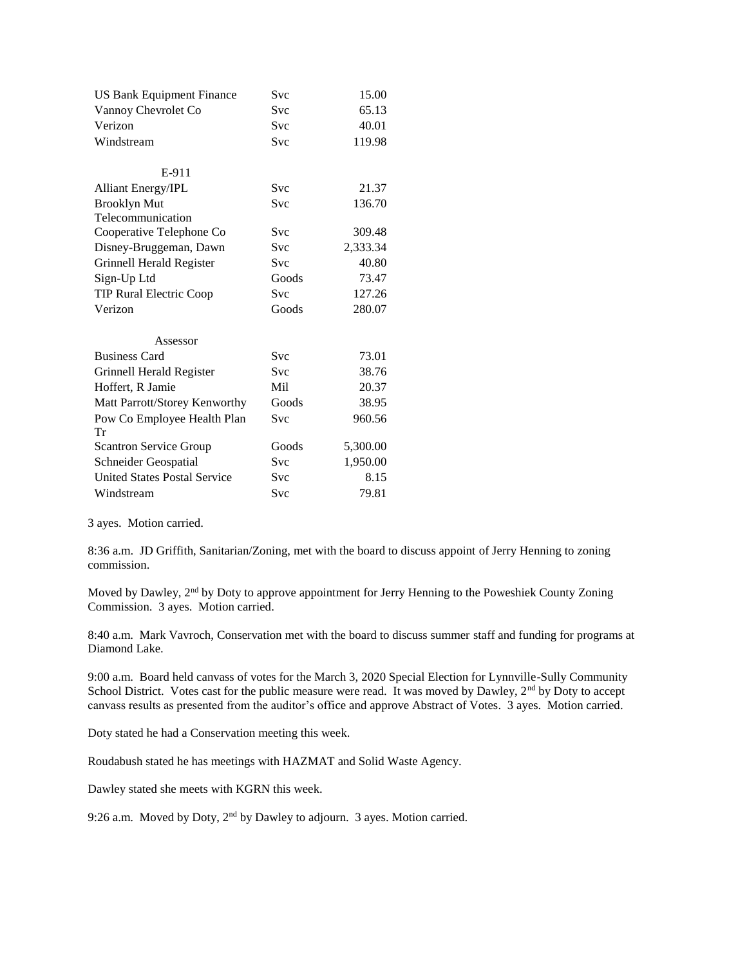| <b>US Bank Equipment Finance</b>    | Svc        | 15.00    |
|-------------------------------------|------------|----------|
| Vannoy Chevrolet Co                 | <b>Svc</b> | 65.13    |
| Verizon                             | <b>Svc</b> | 40.01    |
| Windstream                          | <b>Svc</b> | 119.98   |
|                                     |            |          |
| E-911                               |            |          |
| <b>Alliant Energy/IPL</b>           | <b>Svc</b> | 21.37    |
| <b>Brooklyn Mut</b>                 | <b>Svc</b> | 136.70   |
| Telecommunication                   |            |          |
| Cooperative Telephone Co            | <b>Svc</b> | 309.48   |
| Disney-Bruggeman, Dawn              | Svc        | 2,333.34 |
| Grinnell Herald Register            | <b>Svc</b> | 40.80    |
| Sign-Up Ltd                         | Goods      | 73.47    |
| TIP Rural Electric Coop             | <b>Svc</b> | 127.26   |
| Verizon                             | Goods      | 280.07   |
| Assessor                            |            |          |
| <b>Business Card</b>                | <b>Svc</b> | 73.01    |
| Grinnell Herald Register            | <b>Svc</b> | 38.76    |
| Hoffert, R Jamie                    | Mil        | 20.37    |
| Matt Parrott/Storey Kenworthy       | Goods      | 38.95    |
| Pow Co Employee Health Plan         | Svc        | 960.56   |
| Tr                                  |            |          |
| <b>Scantron Service Group</b>       | Goods      | 5,300.00 |
| Schneider Geospatial                | Svc        | 1,950.00 |
| <b>United States Postal Service</b> | Svc        | 8.15     |
| Windstream                          | Svc        | 79.81    |

3 ayes. Motion carried.

8:36 a.m. JD Griffith, Sanitarian/Zoning, met with the board to discuss appoint of Jerry Henning to zoning commission.

Moved by Dawley, 2<sup>nd</sup> by Doty to approve appointment for Jerry Henning to the Poweshiek County Zoning Commission. 3 ayes. Motion carried.

8:40 a.m. Mark Vavroch, Conservation met with the board to discuss summer staff and funding for programs at Diamond Lake.

9:00 a.m. Board held canvass of votes for the March 3, 2020 Special Election for Lynnville-Sully Community School District. Votes cast for the public measure were read. It was moved by Dawley, 2<sup>nd</sup> by Doty to accept canvass results as presented from the auditor's office and approve Abstract of Votes. 3 ayes. Motion carried.

Doty stated he had a Conservation meeting this week.

Roudabush stated he has meetings with HAZMAT and Solid Waste Agency.

Dawley stated she meets with KGRN this week.

9:26 a.m. Moved by Doty, 2nd by Dawley to adjourn. 3 ayes. Motion carried.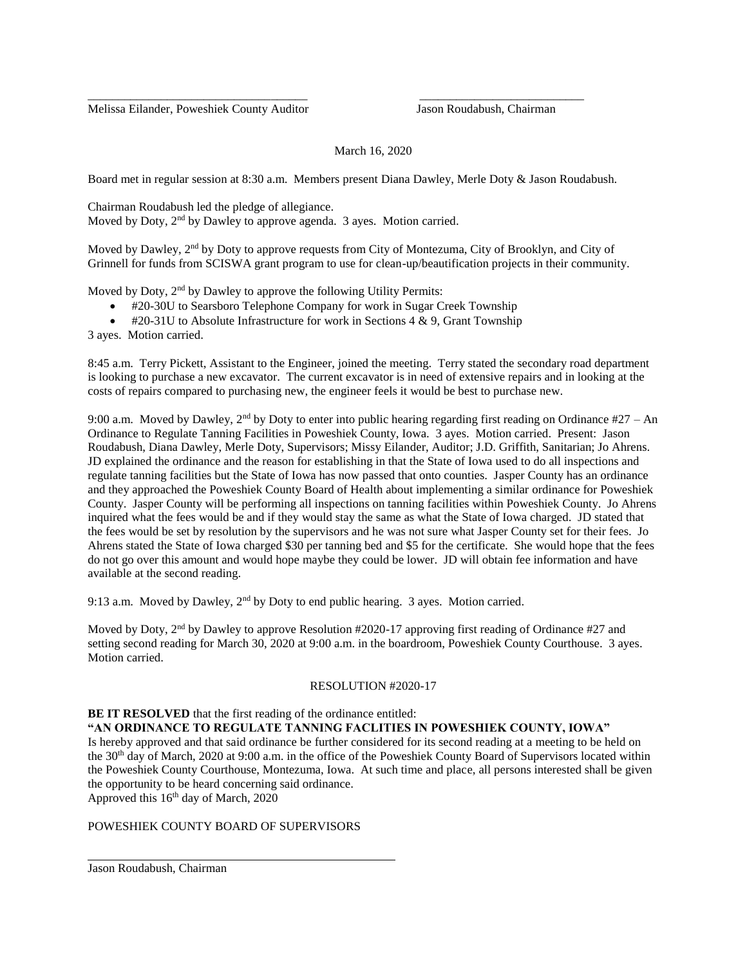Melissa Eilander, Poweshiek County Auditor Jason Roudabush, Chairman

# March 16, 2020

Board met in regular session at 8:30 a.m. Members present Diana Dawley, Merle Doty & Jason Roudabush.

\_\_\_\_\_\_\_\_\_\_\_\_\_\_\_\_\_\_\_\_\_\_\_\_\_\_\_\_\_\_\_\_\_\_\_\_ \_\_\_\_\_\_\_\_\_\_\_\_\_\_\_\_\_\_\_\_\_\_\_\_\_\_\_

Chairman Roudabush led the pledge of allegiance. Moved by Doty, 2<sup>nd</sup> by Dawley to approve agenda. 3 ayes. Motion carried.

Moved by Dawley, 2<sup>nd</sup> by Doty to approve requests from City of Montezuma, City of Brooklyn, and City of Grinnell for funds from SCISWA grant program to use for clean-up/beautification projects in their community.

Moved by Doty, 2<sup>nd</sup> by Dawley to approve the following Utility Permits:

- #20-30U to Searsboro Telephone Company for work in Sugar Creek Township
- $\bullet$  #20-31U to Absolute Infrastructure for work in Sections 4 & 9, Grant Township

3 ayes. Motion carried.

8:45 a.m. Terry Pickett, Assistant to the Engineer, joined the meeting. Terry stated the secondary road department is looking to purchase a new excavator. The current excavator is in need of extensive repairs and in looking at the costs of repairs compared to purchasing new, the engineer feels it would be best to purchase new.

9:00 a.m. Moved by Dawley,  $2<sup>nd</sup>$  by Doty to enter into public hearing regarding first reading on Ordinance #27 – An Ordinance to Regulate Tanning Facilities in Poweshiek County, Iowa. 3 ayes. Motion carried. Present: Jason Roudabush, Diana Dawley, Merle Doty, Supervisors; Missy Eilander, Auditor; J.D. Griffith, Sanitarian; Jo Ahrens. JD explained the ordinance and the reason for establishing in that the State of Iowa used to do all inspections and regulate tanning facilities but the State of Iowa has now passed that onto counties. Jasper County has an ordinance and they approached the Poweshiek County Board of Health about implementing a similar ordinance for Poweshiek County. Jasper County will be performing all inspections on tanning facilities within Poweshiek County. Jo Ahrens inquired what the fees would be and if they would stay the same as what the State of Iowa charged. JD stated that the fees would be set by resolution by the supervisors and he was not sure what Jasper County set for their fees. Jo Ahrens stated the State of Iowa charged \$30 per tanning bed and \$5 for the certificate. She would hope that the fees do not go over this amount and would hope maybe they could be lower. JD will obtain fee information and have available at the second reading.

9:13 a.m. Moved by Dawley,  $2<sup>nd</sup>$  by Doty to end public hearing. 3 ayes. Motion carried.

Moved by Doty, 2<sup>nd</sup> by Dawley to approve Resolution #2020-17 approving first reading of Ordinance #27 and setting second reading for March 30, 2020 at 9:00 a.m. in the boardroom, Poweshiek County Courthouse. 3 ayes. Motion carried.

### RESOLUTION #2020-17

#### **BE IT RESOLVED** that the first reading of the ordinance entitled: **"AN ORDINANCE TO REGULATE TANNING FACLITIES IN POWESHIEK COUNTY, IOWA"**

Is hereby approved and that said ordinance be further considered for its second reading at a meeting to be held on the 30<sup>th</sup> day of March, 2020 at 9:00 a.m. in the office of the Poweshiek County Board of Supervisors located within the Poweshiek County Courthouse, Montezuma, Iowa. At such time and place, all persons interested shall be given the opportunity to be heard concerning said ordinance.

Approved this  $16<sup>th</sup>$  day of March, 2020

## POWESHIEK COUNTY BOARD OF SUPERVISORS

Jason Roudabush, Chairman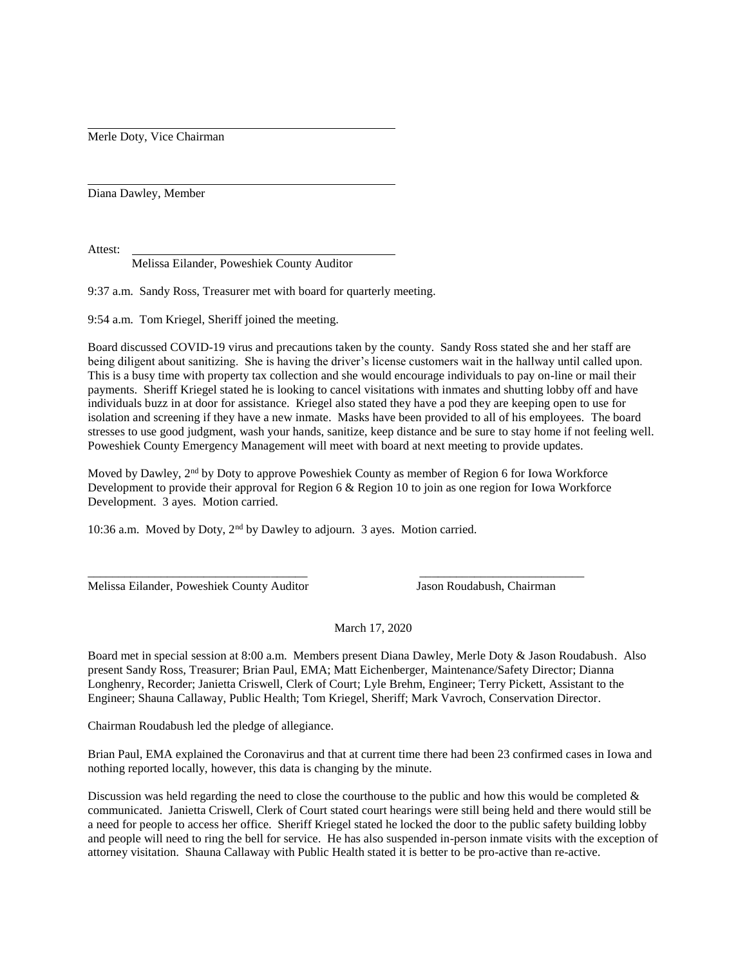Merle Doty, Vice Chairman

Diana Dawley, Member

Attest:

Melissa Eilander, Poweshiek County Auditor

9:37 a.m. Sandy Ross, Treasurer met with board for quarterly meeting.

9:54 a.m. Tom Kriegel, Sheriff joined the meeting.

Board discussed COVID-19 virus and precautions taken by the county. Sandy Ross stated she and her staff are being diligent about sanitizing. She is having the driver's license customers wait in the hallway until called upon. This is a busy time with property tax collection and she would encourage individuals to pay on-line or mail their payments. Sheriff Kriegel stated he is looking to cancel visitations with inmates and shutting lobby off and have individuals buzz in at door for assistance. Kriegel also stated they have a pod they are keeping open to use for isolation and screening if they have a new inmate. Masks have been provided to all of his employees. The board stresses to use good judgment, wash your hands, sanitize, keep distance and be sure to stay home if not feeling well. Poweshiek County Emergency Management will meet with board at next meeting to provide updates.

Moved by Dawley, 2<sup>nd</sup> by Doty to approve Poweshiek County as member of Region 6 for Iowa Workforce Development to provide their approval for Region 6 & Region 10 to join as one region for Iowa Workforce Development. 3 ayes. Motion carried.

\_\_\_\_\_\_\_\_\_\_\_\_\_\_\_\_\_\_\_\_\_\_\_\_\_\_\_\_\_\_\_\_\_\_\_\_ \_\_\_\_\_\_\_\_\_\_\_\_\_\_\_\_\_\_\_\_\_\_\_\_\_\_\_

10:36 a.m. Moved by Doty, 2nd by Dawley to adjourn. 3 ayes. Motion carried.

Melissa Eilander, Poweshiek County Auditor Jason Roudabush, Chairman

March 17, 2020

Board met in special session at 8:00 a.m. Members present Diana Dawley, Merle Doty & Jason Roudabush. Also present Sandy Ross, Treasurer; Brian Paul, EMA; Matt Eichenberger, Maintenance/Safety Director; Dianna Longhenry, Recorder; Janietta Criswell, Clerk of Court; Lyle Brehm, Engineer; Terry Pickett, Assistant to the Engineer; Shauna Callaway, Public Health; Tom Kriegel, Sheriff; Mark Vavroch, Conservation Director.

Chairman Roudabush led the pledge of allegiance.

Brian Paul, EMA explained the Coronavirus and that at current time there had been 23 confirmed cases in Iowa and nothing reported locally, however, this data is changing by the minute.

Discussion was held regarding the need to close the courthouse to the public and how this would be completed  $\&$ communicated. Janietta Criswell, Clerk of Court stated court hearings were still being held and there would still be a need for people to access her office. Sheriff Kriegel stated he locked the door to the public safety building lobby and people will need to ring the bell for service. He has also suspended in-person inmate visits with the exception of attorney visitation. Shauna Callaway with Public Health stated it is better to be pro-active than re-active.